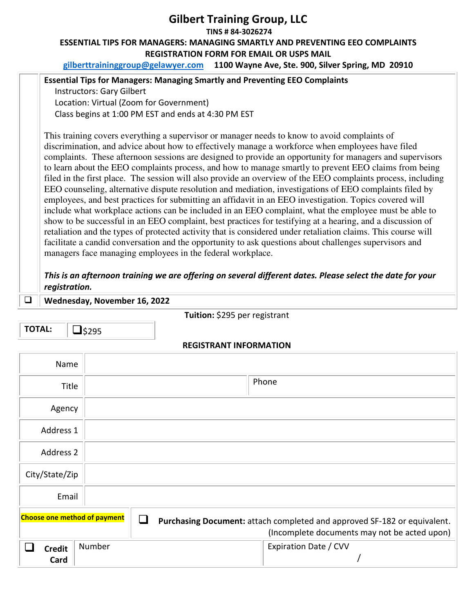## **Gilbert Training Group, LLC TINS # 84-3026274 ESSENTIAL TIPS FOR MANAGERS: MANAGING SMARTLY AND PREVENTING EEO COMPLAINTS REGISTRATION FORM FOR EMAIL OR USPS MAIL**

**gilberttraininggroup@gelawyer.com 1100 Wayne Ave, Ste. 900, Silver Spring, MD 20910** 

## **Essential Tips for Managers: Managing Smartly and Preventing EEO Complaints**

Instructors: Gary Gilbert Location: Virtual (Zoom for Government) Class begins at 1:00 PM EST and ends at 4:30 PM EST

This training covers everything a supervisor or manager needs to know to avoid complaints of discrimination, and advice about how to effectively manage a workforce when employees have filed complaints. These afternoon sessions are designed to provide an opportunity for managers and supervisors to learn about the EEO complaints process, and how to manage smartly to prevent EEO claims from being filed in the first place. The session will also provide an overview of the EEO complaints process, including EEO counseling, alternative dispute resolution and mediation, investigations of EEO complaints filed by employees, and best practices for submitting an affidavit in an EEO investigation. Topics covered will include what workplace actions can be included in an EEO complaint, what the employee must be able to show to be successful in an EEO complaint, best practices for testifying at a hearing, and a discussion of retaliation and the types of protected activity that is considered under retaliation claims. This course will facilitate a candid conversation and the opportunity to ask questions about challenges supervisors and managers face managing employees in the federal workplace.

*This is an afternoon training we are offering on several different dates. Please select the date for your registration.* 

**Wednesday, November 16, 2022**

**TOTAL:**  $\Box$  \$295

**Tuition:** \$295 per registrant

## **REGISTRANT INFORMATION**

| Name                                |        |                                                                                                                          |
|-------------------------------------|--------|--------------------------------------------------------------------------------------------------------------------------|
| Title                               |        | Phone                                                                                                                    |
| Agency                              |        |                                                                                                                          |
| Address 1                           |        |                                                                                                                          |
| Address 2                           |        |                                                                                                                          |
| City/State/Zip                      |        |                                                                                                                          |
| Email                               |        |                                                                                                                          |
| <b>Choose one method of payment</b> |        | Purchasing Document: attach completed and approved SF-182 or equivalent.<br>(Incomplete documents may not be acted upon) |
| <b>Credit</b><br>Card               | Number | Expiration Date / CVV                                                                                                    |